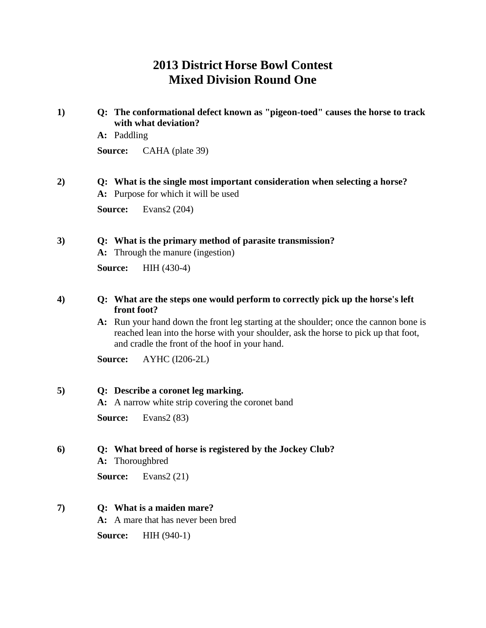# **2013 District Horse Bowl Contest Mixed Division Round One**

| 1)               | Q: The conformational defect known as "pigeon-toed" causes the horse to track<br>with what deviation?<br>A: Paddling                                                                                                           |  |  |
|------------------|--------------------------------------------------------------------------------------------------------------------------------------------------------------------------------------------------------------------------------|--|--|
|                  | Source:<br>CAHA (plate 39)                                                                                                                                                                                                     |  |  |
| 2)               | Q: What is the single most important consideration when selecting a horse?<br>A: Purpose for which it will be used                                                                                                             |  |  |
|                  | Source:<br>Evans2 (204)                                                                                                                                                                                                        |  |  |
| 3)               | Q: What is the primary method of parasite transmission?<br>A: Through the manure (ingestion)                                                                                                                                   |  |  |
|                  | HIH (430-4)<br>Source:                                                                                                                                                                                                         |  |  |
| $\boldsymbol{4}$ | Q: What are the steps one would perform to correctly pick up the horse's left<br>front foot?                                                                                                                                   |  |  |
|                  | A: Run your hand down the front leg starting at the shoulder; once the cannon bone is<br>reached lean into the horse with your shoulder, ask the horse to pick up that foot,<br>and cradle the front of the hoof in your hand. |  |  |
|                  | AYHC (I206-2L)<br>Source:                                                                                                                                                                                                      |  |  |
| 5)               | Q: Describe a coronet leg marking.<br>A: A narrow white strip covering the coronet band                                                                                                                                        |  |  |
|                  | Source:<br>Evans $2(83)$                                                                                                                                                                                                       |  |  |
| 6)               | Q: What breed of horse is registered by the Jockey Club?<br>A: Thoroughbred                                                                                                                                                    |  |  |
|                  | <b>Source:</b><br>Evans $2(21)$                                                                                                                                                                                                |  |  |
| 7)               | Q: What is a maiden mare?<br>A: A mare that has never been bred                                                                                                                                                                |  |  |
|                  | Source:<br>$HH(940-1)$                                                                                                                                                                                                         |  |  |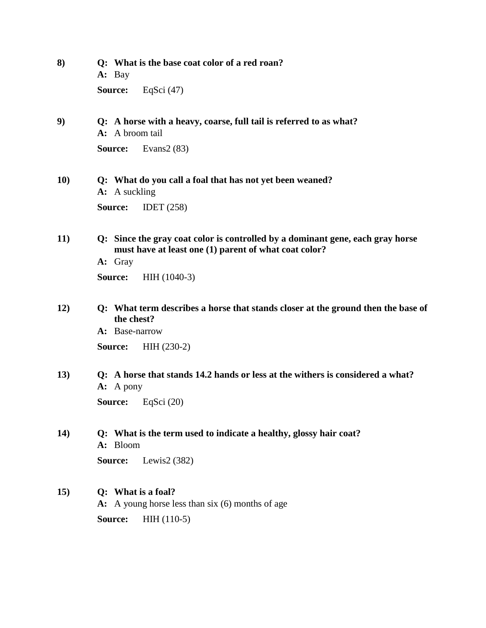| 8)         | Q: What is the base coat color of a red roan?<br>A: Bay                                                                                            |  |  |
|------------|----------------------------------------------------------------------------------------------------------------------------------------------------|--|--|
|            | EqSci $(47)$<br>Source:                                                                                                                            |  |  |
| 9)         | Q: A horse with a heavy, coarse, full tail is referred to as what?<br>A: A broom tail                                                              |  |  |
|            | Evans $2(83)$<br>Source:                                                                                                                           |  |  |
| <b>10)</b> | Q: What do you call a foal that has not yet been weaned?<br><b>A:</b> A suckling                                                                   |  |  |
|            | Source:<br>IDET $(258)$                                                                                                                            |  |  |
| 11)        | Q: Since the gray coat color is controlled by a dominant gene, each gray horse<br>must have at least one (1) parent of what coat color?<br>A: Gray |  |  |
|            | Source:<br>HIH (1040-3)                                                                                                                            |  |  |
| 12)        | Q: What term describes a horse that stands closer at the ground then the base of<br>the chest?                                                     |  |  |
|            | A: Base-narrow                                                                                                                                     |  |  |
|            | $HH(230-2)$<br>Source:                                                                                                                             |  |  |
| 13)        | Q: A horse that stands 14.2 hands or less at the withers is considered a what?<br>$A: A$ pony                                                      |  |  |
|            | EqSci $(20)$<br>Source:                                                                                                                            |  |  |
| 14)        | Q: What is the term used to indicate a healthy, glossy hair coat?<br>A: Bloom                                                                      |  |  |
|            | Source:<br>Lewis2 $(382)$                                                                                                                          |  |  |
| 15)        | Q: What is a foal?<br>A: A young horse less than six (6) months of age                                                                             |  |  |
|            | Source:<br>$HH(110-5)$                                                                                                                             |  |  |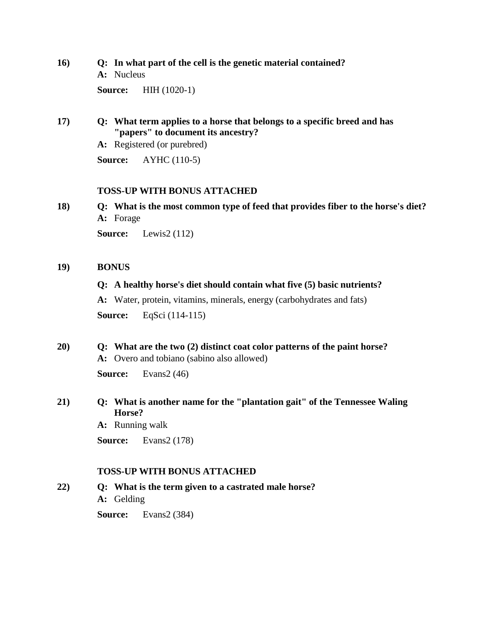### **16) Q: In what part of the cell is the genetic material contained?**

**A:** Nucleus

**Source:** HIH (1020-1)

### **17) Q: What term applies to a horse that belongs to a specific breed and has "papers" to document its ancestry?**

**A:** Registered (or purebred)

**Source:** AYHC (110-5)

### **TOSS-UP WITH BONUS ATTACHED**

**18) Q: What is the most common type of feed that provides fiber to the horse's diet? A:** Forage

**Source:** Lewis2 (112)

#### **19) BONUS**

### **Q: A healthy horse's diet should contain what five (5) basic nutrients?**

**A:** Water, protein, vitamins, minerals, energy (carbohydrates and fats)

**Source:** EqSci (114-115)

### **20) Q: What are the two (2) distinct coat color patterns of the paint horse? A:** Overo and tobiano (sabino also allowed)

**Source:** Evans2 (46)

### **21) Q: What is another name for the "plantation gait" of the Tennessee Waling Horse?**

**A:** Running walk

**Source:** Evans2 (178)

### **TOSS-UP WITH BONUS ATTACHED**

**22) Q: What is the term given to a castrated male horse? A:** Gelding

**Source:** Evans2 (384)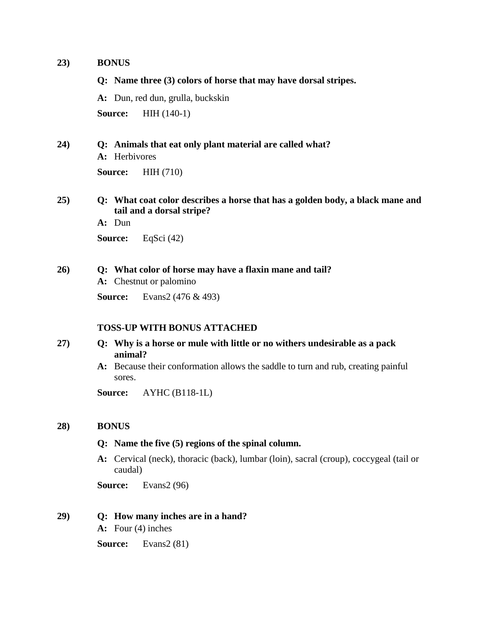#### **23) BONUS**

**Q: Name three (3) colors of horse that may have dorsal stripes. A:** Dun, red dun, grulla, buckskin **Source:** HIH (140-1) **24) Q: Animals that eat only plant material are called what? A:** Herbivores

**Source:** HIH (710)

### **25) Q: What coat color describes a horse that has a golden body, a black mane and tail and a dorsal stripe?**

**A:** Dun **Source:** EqSci (42)

#### **26) Q: What color of horse may have a flaxin mane and tail?**

**A:** Chestnut or palomino

**Source:** Evans2 (476 & 493)

#### **TOSS-UP WITH BONUS ATTACHED**

- **27) Q: Why is a horse or mule with little or no withers undesirable as a pack animal?**
	- **A:** Because their conformation allows the saddle to turn and rub, creating painful sores.

**Source:** AYHC (B118-1L)

#### **28) BONUS**

#### **Q: Name the five (5) regions of the spinal column.**

**A:** Cervical (neck), thoracic (back), lumbar (loin), sacral (croup), coccygeal (tail or caudal)

**Source:** Evans2 (96)

#### **29) Q: How many inches are in a hand?**

**A:** Four (4) inches

**Source:** Evans2 (81)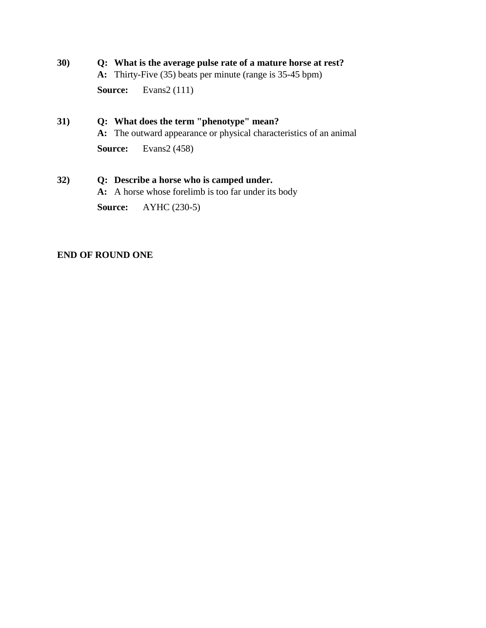## **30) Q: What is the average pulse rate of a mature horse at rest?**

**A:** Thirty-Five (35) beats per minute (range is 35-45 bpm)

**Source:** Evans2 (111)

### **31) Q: What does the term "phenotype" mean?**

**A:** The outward appearance or physical characteristics of an animal

**Source:** Evans2 (458)

### **32) Q: Describe a horse who is camped under.**

**A:** A horse whose forelimb is too far under its body

**Source:** AYHC (230-5)

### **END OF ROUND ONE**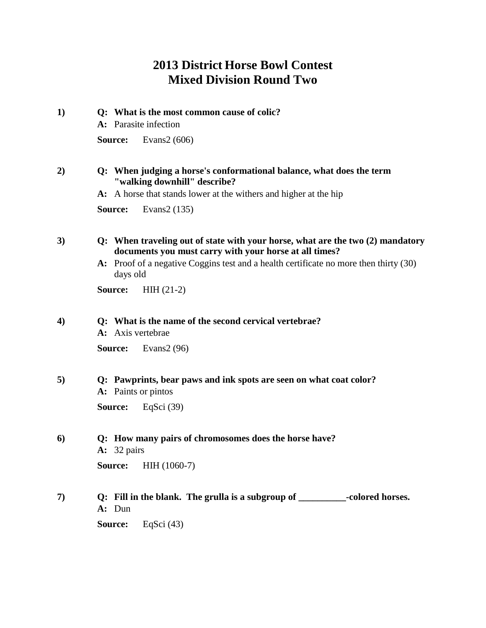# **2013 District Horse Bowl Contest Mixed Division Round Two**

| 1) | Q: What is the most common cause of colic?<br>A: Parasite infection                                                                      |
|----|------------------------------------------------------------------------------------------------------------------------------------------|
|    | Evans $2(606)$<br>Source:                                                                                                                |
| 2) | Q: When judging a horse's conformational balance, what does the term<br>"walking downhill" describe?                                     |
|    | A: A horse that stands lower at the withers and higher at the hip                                                                        |
|    | Evans2 (135)<br>Source:                                                                                                                  |
| 3) | Q: When traveling out of state with your horse, what are the two (2) mandatory<br>documents you must carry with your horse at all times? |
|    | A: Proof of a negative Coggins test and a health certificate no more then thirty (30)<br>days old                                        |
|    | Source:<br>$HH(21-2)$                                                                                                                    |
| 4) | Q: What is the name of the second cervical vertebrae?<br>A: Axis vertebrae                                                               |
|    | Evans $2(96)$<br>Source:                                                                                                                 |
| 5) | Q: Pawprints, bear paws and ink spots are seen on what coat color?<br>A: Paints or pintos                                                |
|    | Source:<br>EqSci $(39)$                                                                                                                  |
| 6) | Q: How many pairs of chromosomes does the horse have?<br>$A: 32 \text{ pairs}$                                                           |

**Source: HIH (1060-7)** 

**7) Q: Fill in the blank. The grulla is a subgroup of \_\_\_\_\_\_\_\_\_\_-colored horses. A:** Dun **Source:** EqSci (43)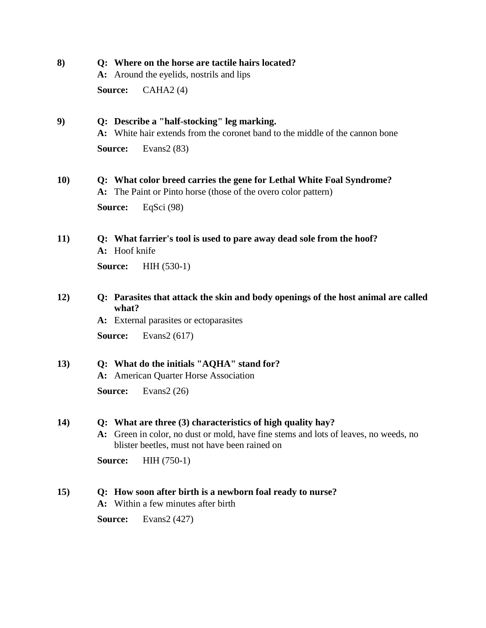**8) Q: Where on the horse are tactile hairs located?**

**A:** Around the eyelids, nostrils and lips

**Source:** CAHA2 (4)

### **9) Q: Describe a "half-stocking" leg marking.**

**A:** White hair extends from the coronet band to the middle of the cannon bone

**Source:** Evans2 (83)

### **10) Q: What color breed carries the gene for Lethal White Foal Syndrome? A:** The Paint or Pinto horse (those of the overo color pattern)

**Source:** EqSci (98)

**11) Q: What farrier's tool is used to pare away dead sole from the hoof? A:** Hoof knife

**Source:** HIH (530-1)

### **12) Q: Parasites that attack the skin and body openings of the host animal are called what?**

**A:** External parasites or ectoparasites

**Source:** Evans2 (617)

### **13) Q: What do the initials "AQHA" stand for?**

**A:** American Quarter Horse Association

**Source:** Evans2 (26)

#### **14) Q: What are three (3) characteristics of high quality hay?**

**A:** Green in color, no dust or mold, have fine stems and lots of leaves, no weeds, no blister beetles, must not have been rained on

**Source:** HIH (750-1)

### **15) Q: How soon after birth is a newborn foal ready to nurse?**

**A:** Within a few minutes after birth

**Source:** Evans2 (427)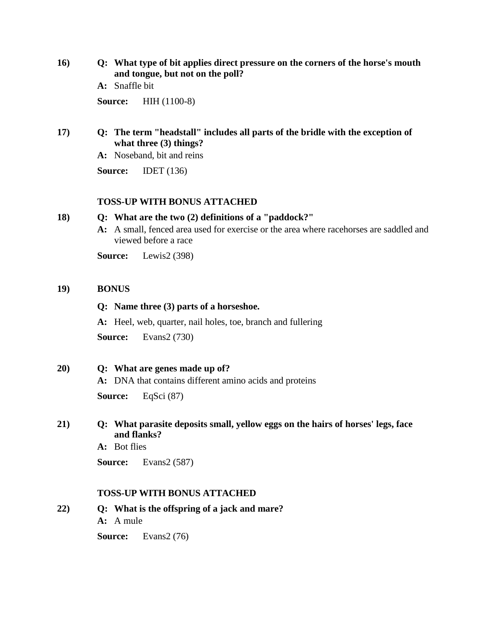**16) Q: What type of bit applies direct pressure on the corners of the horse's mouth and tongue, but not on the poll?**

**A:** Snaffle bit

**Source:** HIH (1100-8)

### **17) Q: The term "headstall" includes all parts of the bridle with the exception of what three (3) things?**

**A:** Noseband, bit and reins

**Source:** IDET (136)

#### **TOSS-UP WITH BONUS ATTACHED**

#### **18) Q: What are the two (2) definitions of a "paddock?"**

**A:** A small, fenced area used for exercise or the area where racehorses are saddled and viewed before a race

**Source:** Lewis2 (398)

#### **19) BONUS**

### **Q: Name three (3) parts of a horseshoe.**

**A:** Heel, web, quarter, nail holes, toe, branch and fullering

**Source:** Evans2 (730)

**20) Q: What are genes made up of?**

**A:** DNA that contains different amino acids and proteins

**Source:** EqSci (87)

### **21) Q: What parasite deposits small, yellow eggs on the hairs of horses' legs, face and flanks?**

**A:** Bot flies

**Source:** Evans2 (587)

#### **TOSS-UP WITH BONUS ATTACHED**

**22) Q: What is the offspring of a jack and mare? A:** A mule

**Source:** Evans2 (76)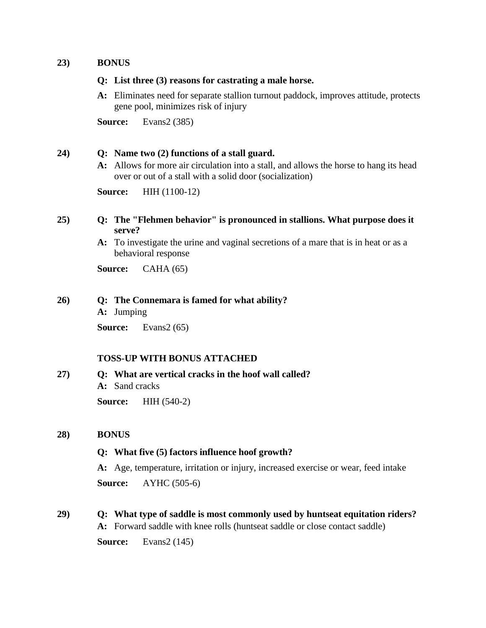#### **23) BONUS**

#### **Q: List three (3) reasons for castrating a male horse.**

**A:** Eliminates need for separate stallion turnout paddock, improves attitude, protects gene pool, minimizes risk of injury

**Source:** Evans2 (385)

#### **24) Q: Name two (2) functions of a stall guard.**

**A:** Allows for more air circulation into a stall, and allows the horse to hang its head over or out of a stall with a solid door (socialization)

**Source:** HIH (1100-12)

#### **25) Q: The "Flehmen behavior" is pronounced in stallions. What purpose does it serve?**

**A:** To investigate the urine and vaginal secretions of a mare that is in heat or as a behavioral response

**Source:** CAHA (65)

#### **26) Q: The Connemara is famed for what ability?**

**A:** Jumping

**Source:** Evans2 (65)

#### **TOSS-UP WITH BONUS ATTACHED**

**27) Q: What are vertical cracks in the hoof wall called? A:** Sand cracks **Source:** HIH (540-2)

#### **28) BONUS**

#### **Q: What five (5) factors influence hoof growth?**

**A:** Age, temperature, irritation or injury, increased exercise or wear, feed intake

**Source:** AYHC (505-6)

**29) Q: What type of saddle is most commonly used by huntseat equitation riders?**

**A:** Forward saddle with knee rolls (huntseat saddle or close contact saddle)

**Source:** Evans2 (145)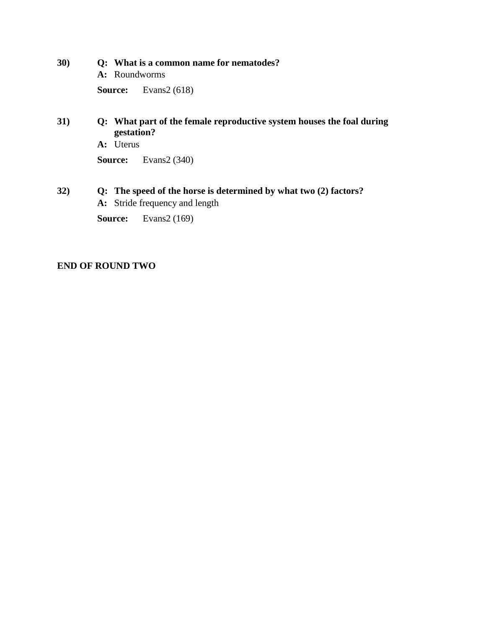- **30) Q: What is a common name for nematodes?**
	- **A:** Roundworms

**Source:** Evans2 (618)

### **31) Q: What part of the female reproductive system houses the foal during gestation?**

**A:** Uterus

**Source:** Evans2 (340)

### **32) Q: The speed of the horse is determined by what two (2) factors?**

**A:** Stride frequency and length

**Source:** Evans2 (169)

### **END OF ROUND TWO**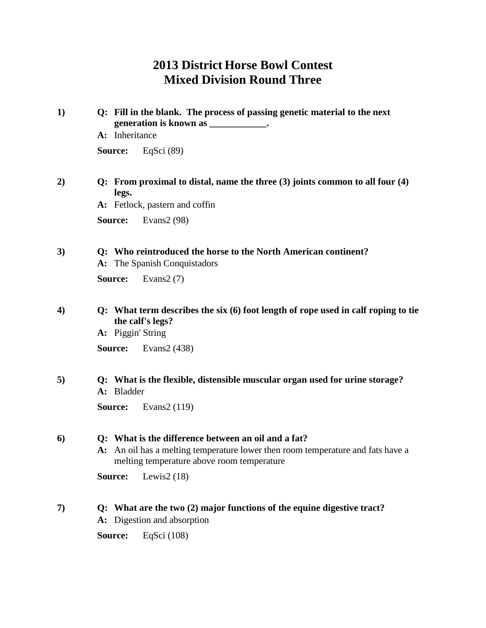# **2013 District Horse Bowl Contest Mixed Division Round Three**

| Q: Fill in the blank. The process of passing genetic material to the next<br>generation is known as ____________.                                                                    |
|--------------------------------------------------------------------------------------------------------------------------------------------------------------------------------------|
| A: Inheritance                                                                                                                                                                       |
| EqSci $(89)$<br>Source:                                                                                                                                                              |
| Q: From proximal to distal, name the three $(3)$ joints common to all four $(4)$<br>legs.                                                                                            |
| A: Fetlock, pastern and coffin                                                                                                                                                       |
| Evans $2(98)$<br>Source:                                                                                                                                                             |
| Q: Who reintroduced the horse to the North American continent?<br>A: The Spanish Conquistadors                                                                                       |
| Evans $2(7)$<br>Source:                                                                                                                                                              |
| Q: What term describes the six $(6)$ foot length of rope used in calf roping to tie<br>the calf's legs?<br>A: Piggin' String                                                         |
| Evans2 (438)<br>Source:                                                                                                                                                              |
| Q: What is the flexible, distensible muscular organ used for urine storage?<br>A: Bladder                                                                                            |
| Evans2 (119)<br>Source:                                                                                                                                                              |
| Q: What is the difference between an oil and a fat?<br>A: An oil has a melting temperature lower then room temperature and fats have a<br>melting temperature above room temperature |
| Lewis2 $(18)$<br>Source:                                                                                                                                                             |
| Q: What are the two (2) major functions of the equine digestive tract?<br>A: Digestion and absorption                                                                                |
| EqSci (108)<br>Source:                                                                                                                                                               |
|                                                                                                                                                                                      |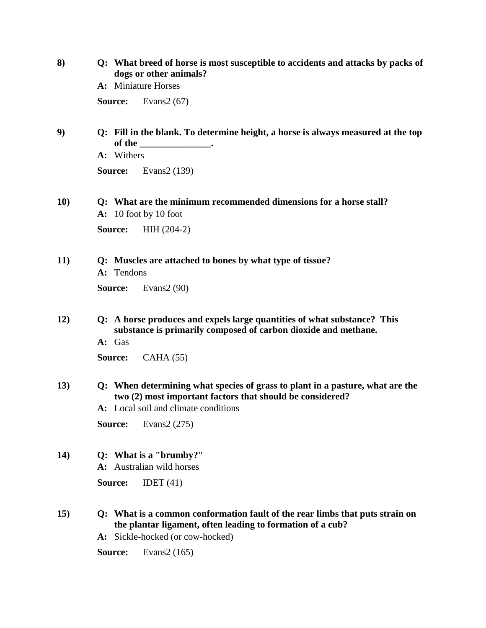| 8)          | Q: What breed of horse is most susceptible to accidents and attacks by packs of<br>dogs or other animals?                                                                      |
|-------------|--------------------------------------------------------------------------------------------------------------------------------------------------------------------------------|
|             | A: Miniature Horses                                                                                                                                                            |
|             | Evans $2(67)$<br>Source:                                                                                                                                                       |
| 9)          | Q: Fill in the blank. To determine height, a horse is always measured at the top<br>of the ______________________.                                                             |
|             | A: Withers                                                                                                                                                                     |
|             | Evans2 (139)<br>Source:                                                                                                                                                        |
| <b>10)</b>  | Q: What are the minimum recommended dimensions for a horse stall?<br>$A: 10$ foot by 10 foot                                                                                   |
|             | $HH (204-2)$<br>Source:                                                                                                                                                        |
| 11)         | Q: Muscles are attached to bones by what type of tissue?<br>A: Tendons                                                                                                         |
|             | Evans $2(90)$<br>Source:                                                                                                                                                       |
| 12)         | Q: A horse produces and expels large quantities of what substance? This<br>substance is primarily composed of carbon dioxide and methane.                                      |
|             | A: Gas                                                                                                                                                                         |
|             | CAHA(55)<br>Source:                                                                                                                                                            |
| 13)         | Q: When determining what species of grass to plant in a pasture, what are the<br>two (2) most important factors that should be considered?                                     |
|             | A: Local soil and climate conditions                                                                                                                                           |
|             | Source:<br>Evans2 $(275)$                                                                                                                                                      |
| <b>14</b> ) | Q: What is a "brumby?"<br>A: Australian wild horses                                                                                                                            |
|             | Source:<br>IDET $(41)$                                                                                                                                                         |
| <b>15</b> ) | Q: What is a common conformation fault of the rear limbs that puts strain on<br>the plantar ligament, often leading to formation of a cub?<br>A: Sickle-hocked (or cow-hocked) |

**Source:** Evans2 (165)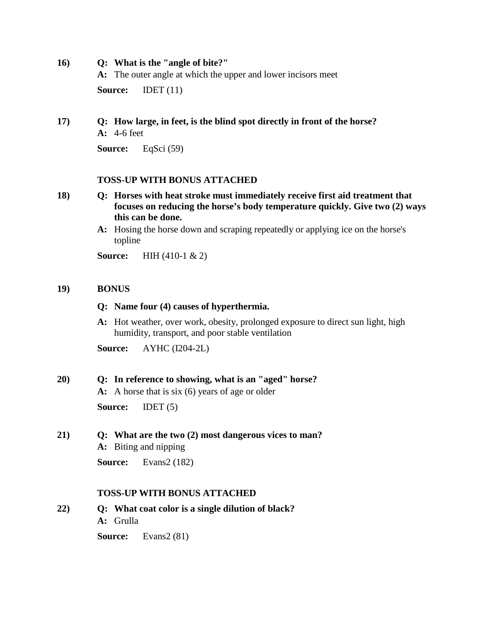**16) Q: What is the "angle of bite?"**

**A:** The outer angle at which the upper and lower incisors meet

**Source: IDET** (11)

### **17) Q: How large, in feet, is the blind spot directly in front of the horse? A:** 4-6 feet

**Source:** EqSci (59)

#### **TOSS-UP WITH BONUS ATTACHED**

- **18) Q: Horses with heat stroke must immediately receive first aid treatment that focuses on reducing the horse's body temperature quickly. Give two (2) ways this can be done.**
	- **A:** Hosing the horse down and scraping repeatedly or applying ice on the horse's topline

**Source:** HIH (410-1 & 2)

#### **19) BONUS**

#### **Q: Name four (4) causes of hyperthermia.**

**A:** Hot weather, over work, obesity, prolonged exposure to direct sun light, high humidity, transport, and poor stable ventilation

**Source:** AYHC (I204-2L)

#### **20) Q: In reference to showing, what is an "aged" horse?**

**A:** A horse that is six (6) years of age or older

**Source:** IDET (5)

**21) Q: What are the two (2) most dangerous vices to man? A:** Biting and nipping

**Source:** Evans2 (182)

#### **TOSS-UP WITH BONUS ATTACHED**

**22) Q: What coat color is a single dilution of black? A:** Grulla

**Source:** Evans2 (81)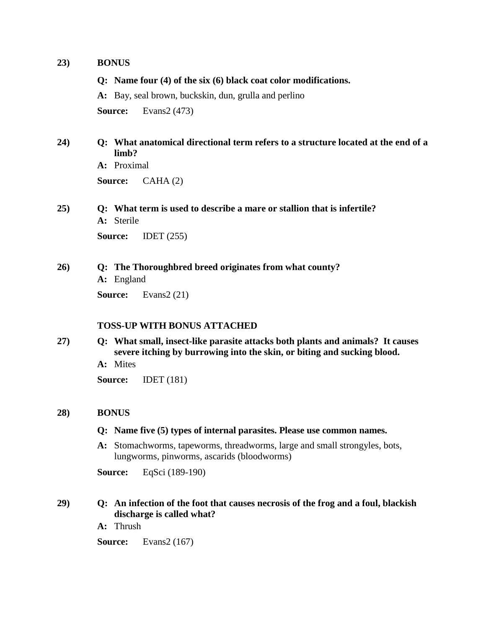#### **23) BONUS**

**Q: Name four (4) of the six (6) black coat color modifications.**

**A:** Bay, seal brown, buckskin, dun, grulla and perlino **Source:** Evans2 (473)

### **24) Q: What anatomical directional term refers to a structure located at the end of a limb?**

**A:** Proximal

**Source:** CAHA (2)

**25) Q: What term is used to describe a mare or stallion that is infertile? A:** Sterile

**Source:** IDET (255)

### **26) Q: The Thoroughbred breed originates from what county?**

**A:** England

**Source:** Evans2 (21)

#### **TOSS-UP WITH BONUS ATTACHED**

**27) Q: What small, insect-like parasite attacks both plants and animals? It causes severe itching by burrowing into the skin, or biting and sucking blood.**

**A:** Mites

**Source:** IDET (181)

#### **28) BONUS**

- **Q: Name five (5) types of internal parasites. Please use common names.**
- **A:** Stomachworms, tapeworms, threadworms, large and small strongyles, bots, lungworms, pinworms, ascarids (bloodworms)

**Source:** EqSci (189-190)

### **29) Q: An infection of the foot that causes necrosis of the frog and a foul, blackish discharge is called what?**

**A:** Thrush

**Source:** Evans2 (167)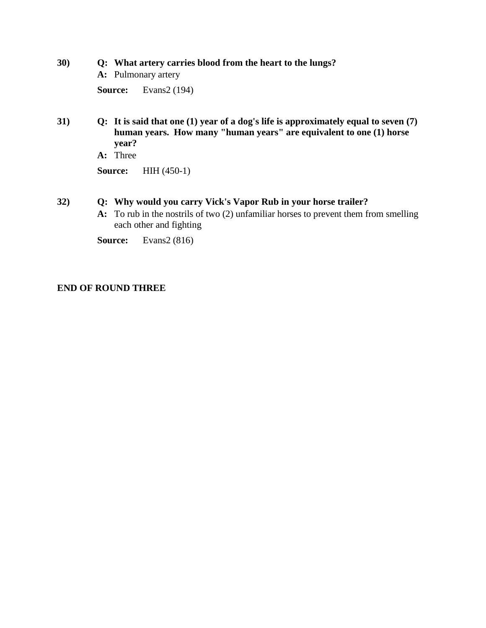### **30) Q: What artery carries blood from the heart to the lungs?**

**A:** Pulmonary artery

**Source:** Evans2 (194)

- **31) Q: It is said that one (1) year of a dog's life is approximately equal to seven (7) human years. How many "human years" are equivalent to one (1) horse year?**
	- **A:** Three

**Source:** HIH (450-1)

### **32) Q: Why would you carry Vick's Vapor Rub in your horse trailer?**

**A:** To rub in the nostrils of two (2) unfamiliar horses to prevent them from smelling each other and fighting

**Source:** Evans2 (816)

### **END OF ROUND THREE**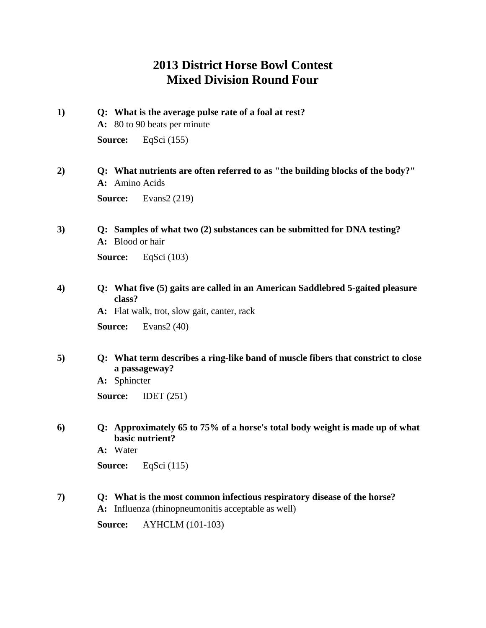# **2013 District Horse Bowl Contest Mixed Division Round Four**

- **1) Q: What is the average pulse rate of a foal at rest? A:** 80 to 90 beats per minute **Source:** EqSci (155)
- **2) Q: What nutrients are often referred to as "the building blocks of the body?" A:** Amino Acids **Source:** Evans2 (219)
- **3) Q: Samples of what two (2) substances can be submitted for DNA testing? A:** Blood or hair

**Source:** EqSci (103)

**4) Q: What five (5) gaits are called in an American Saddlebred 5-gaited pleasure class?**

**A:** Flat walk, trot, slow gait, canter, rack

**Source:** Evans2 (40)

**5) Q: What term describes a ring-like band of muscle fibers that constrict to close a passageway?**

**A:** Sphincter

**Source:** IDET (251)

**6) Q: Approximately 65 to 75% of a horse's total body weight is made up of what basic nutrient?**

**A:** Water

**Source:** EqSci (115)

**7) Q: What is the most common infectious respiratory disease of the horse? A:** Influenza (rhinopneumonitis acceptable as well)

**Source:** AYHCLM (101-103)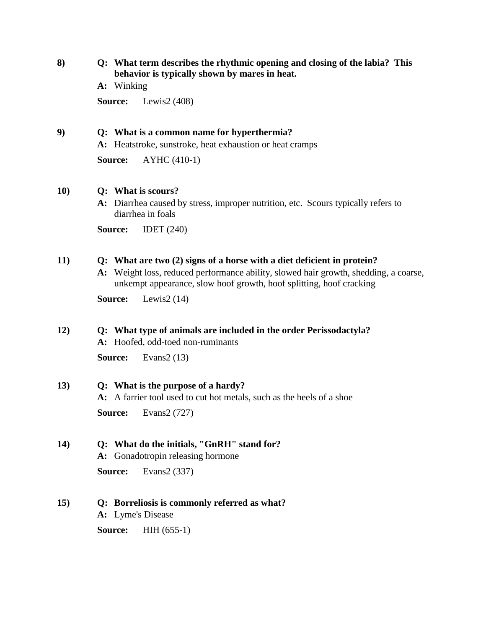**8) Q: What term describes the rhythmic opening and closing of the labia? This behavior is typically shown by mares in heat.**

**A:** Winking

**Source:** Lewis2 (408)

### **9) Q: What is a common name for hyperthermia?**

**A:** Heatstroke, sunstroke, heat exhaustion or heat cramps

**Source:** AYHC (410-1)

#### **10) Q: What is scours?**

**A:** Diarrhea caused by stress, improper nutrition, etc. Scours typically refers to diarrhea in foals

**Source:** IDET (240)

#### **11) Q: What are two (2) signs of a horse with a diet deficient in protein?**

**A:** Weight loss, reduced performance ability, slowed hair growth, shedding, a coarse, unkempt appearance, slow hoof growth, hoof splitting, hoof cracking

**Source:** Lewis2 (14)

#### **12) Q: What type of animals are included in the order Perissodactyla?**

**A:** Hoofed, odd-toed non-ruminants

**Source:** Evans2 (13)

#### **13) Q: What is the purpose of a hardy?**

**A:** A farrier tool used to cut hot metals, such as the heels of a shoe

**Source:** Evans2 (727)

#### **14) Q: What do the initials, "GnRH" stand for?**

**A:** Gonadotropin releasing hormone

**Source:** Evans2 (337)

#### **15) Q: Borreliosis is commonly referred as what?**

**A:** Lyme's Disease

**Source:** HIH (655-1)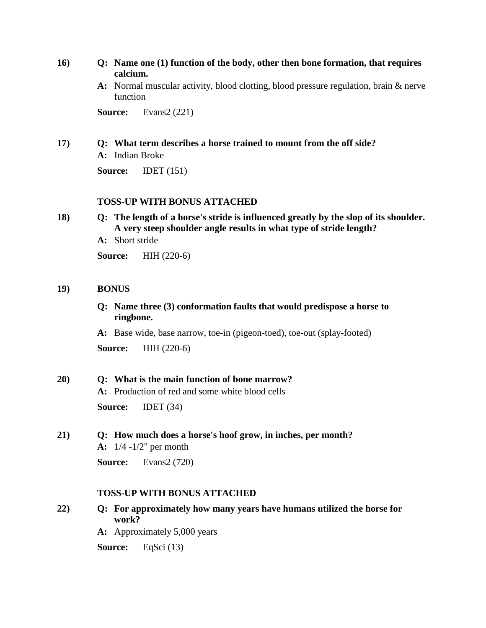- **16) Q: Name one (1) function of the body, other then bone formation, that requires calcium.**
	- **A:** Normal muscular activity, blood clotting, blood pressure regulation, brain & nerve function

**Source:** Evans2 (221)

#### **17) Q: What term describes a horse trained to mount from the off side?**

**A:** Indian Broke

**Source:** IDET (151)

#### **TOSS-UP WITH BONUS ATTACHED**

**18) Q: The length of a horse's stride is influenced greatly by the slop of its shoulder. A very steep shoulder angle results in what type of stride length?**

**A:** Short stride

**Source:** HIH (220-6)

#### **19) BONUS**

**Q: Name three (3) conformation faults that would predispose a horse to ringbone.**

**A:** Base wide, base narrow, toe-in (pigeon-toed), toe-out (splay-footed)

**Source:** HIH (220-6)

#### **20) Q: What is the main function of bone marrow?**

**A:** Production of red and some white blood cells

**Source:** IDET (34)

**21) Q: How much does a horse's hoof grow, in inches, per month? A:** 1/4 -1/2" per month

**Source:** Evans2 (720)

#### **TOSS-UP WITH BONUS ATTACHED**

- **22) Q: For approximately how many years have humans utilized the horse for work?**
	- **A:** Approximately 5,000 years

**Source:** EqSci (13)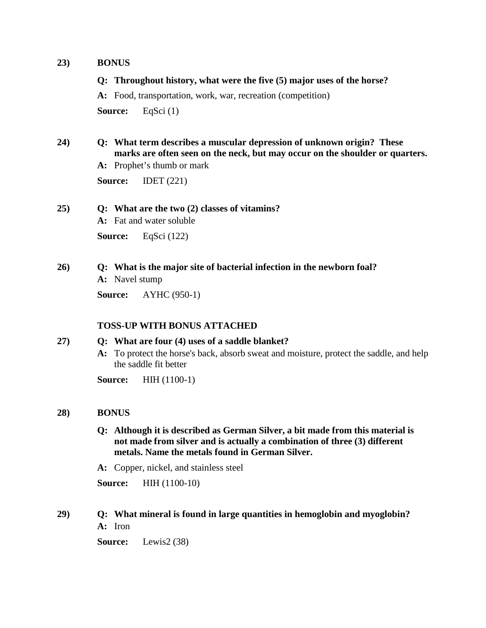#### **23) BONUS**

#### **Q: Throughout history, what were the five (5) major uses of the horse?**

**A:** Food, transportation, work, war, recreation (competition) **Source:** EqSci (1)

**24) Q: What term describes a muscular depression of unknown origin? These marks are often seen on the neck, but may occur on the shoulder or quarters.**

**A:** Prophet's thumb or mark

**Source:** IDET (221)

#### **25) Q: What are the two (2) classes of vitamins?**

**A:** Fat and water soluble

**Source:** EqSci (122)

#### **26) Q: What is the major site of bacterial infection in the newborn foal?**

**A:** Navel stump

**Source:** AYHC (950-1)

#### **TOSS-UP WITH BONUS ATTACHED**

### **27) Q: What are four (4) uses of a saddle blanket?**

**A:** To protect the horse's back, absorb sweat and moisture, protect the saddle, and help the saddle fit better

**Source:** HIH (1100-1)

#### **28) BONUS**

- **Q: Although it is described as German Silver, a bit made from this material is not made from silver and is actually a combination of three (3) different metals. Name the metals found in German Silver.**
- **A:** Copper, nickel, and stainless steel

**Source:** HIH (1100-10)

**29) Q: What mineral is found in large quantities in hemoglobin and myoglobin? A:** Iron

**Source:** Lewis2 (38)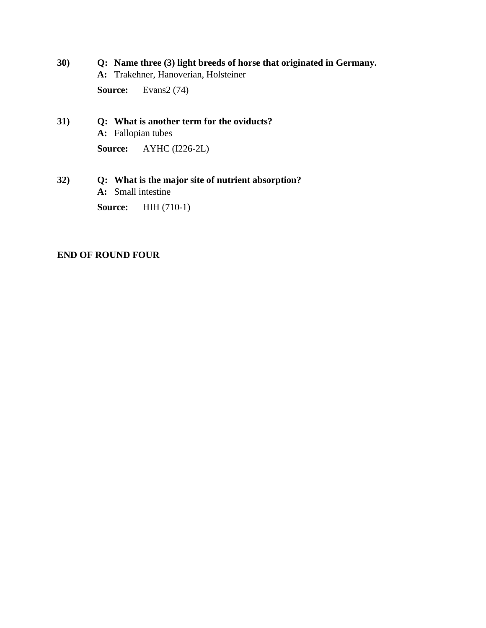# **30) Q: Name three (3) light breeds of horse that originated in Germany.**

**A:** Trakehner, Hanoverian, Holsteiner

Source: Evans2 (74)

# **31) Q: What is another term for the oviducts? A:** Fallopian tubes

**Source:** AYHC (I226-2L)

### **32) Q: What is the major site of nutrient absorption? A:** Small intestine

**Source:** HIH (710-1)

### **END OF ROUND FOUR**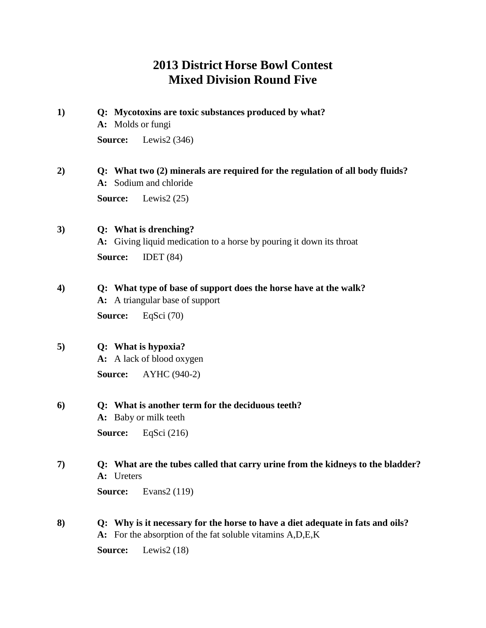# **2013 District Horse Bowl Contest Mixed Division Round Five**

**1) Q: Mycotoxins are toxic substances produced by what?**

**A:** Molds or fungi

**Source:** Lewis2 (346)

### **2) Q: What two (2) minerals are required for the regulation of all body fluids? A:** Sodium and chloride

**Source:** Lewis2 (25)

**3) Q: What is drenching? A:** Giving liquid medication to a horse by pouring it down its throat **Source:** IDET (84)

## **4) Q: What type of base of support does the horse have at the walk?**

**A:** A triangular base of support

**Source:** EqSci (70)

### **5) Q: What is hypoxia?**

**A:** A lack of blood oxygen

**Source:** AYHC (940-2)

#### **6) Q: What is another term for the deciduous teeth?**

**A:** Baby or milk teeth

**Source:** EqSci (216)

### **7) Q: What are the tubes called that carry urine from the kidneys to the bladder? A:** Ureters

**Source:** Evans2 (119)

**8) Q: Why is it necessary for the horse to have a diet adequate in fats and oils? A:** For the absorption of the fat soluble vitamins A,D,E,K

**Source:** Lewis2 (18)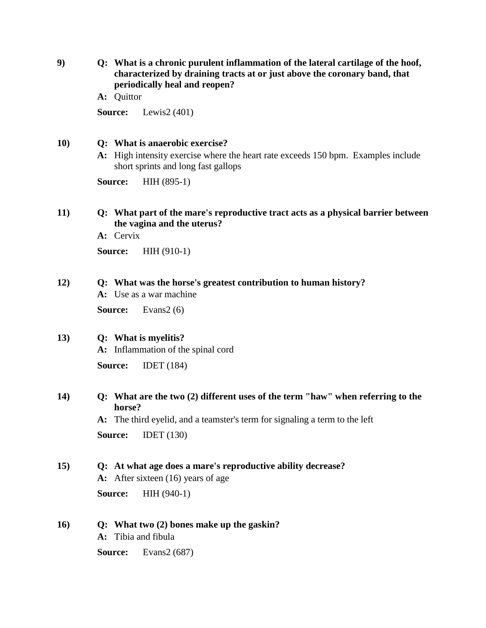**9) Q: What is a chronic purulent inflammation of the lateral cartilage of the hoof, characterized by draining tracts at or just above the coronary band, that periodically heal and reopen?**

**A:** Quittor

**Source:** Lewis2 (401)

#### **10) Q: What is anaerobic exercise?**

**A:** High intensity exercise where the heart rate exceeds 150 bpm. Examples include short sprints and long fast gallops

**Source:** HIH (895-1)

### **11) Q: What part of the mare's reproductive tract acts as a physical barrier between the vagina and the uterus?**

**A:** Cervix

**Source:** HIH (910-1)

#### **12) Q: What was the horse's greatest contribution to human history?**

**A:** Use as a war machine

**Source:** Evans2 (6)

### **13) Q: What is myelitis?**

**A:** Inflammation of the spinal cord

**Source:** IDET (184)

### **14) Q: What are the two (2) different uses of the term "haw" when referring to the horse?**

**A:** The third eyelid, and a teamster's term for signaling a term to the left **Source:** IDET (130)

#### **15) Q: At what age does a mare's reproductive ability decrease?**

**A:** After sixteen (16) years of age

**Source:** HIH (940-1)

#### **16) Q: What two (2) bones make up the gaskin?**

**A:** Tibia and fibula

**Source:** Evans2 (687)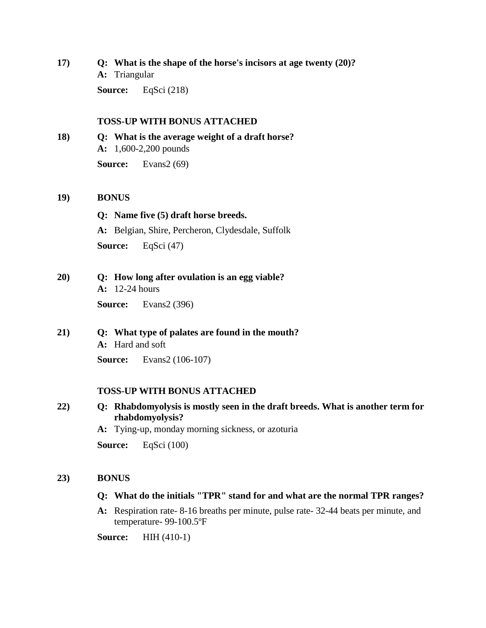**17) Q: What is the shape of the horse's incisors at age twenty (20)? A:** Triangular

**Source:** EqSci (218)

#### **TOSS-UP WITH BONUS ATTACHED**

**18) Q: What is the average weight of a draft horse? A:** 1,600-2,200 pounds **Source:** Evans2 (69)

#### **19) BONUS**

**Q: Name five (5) draft horse breeds. A:** Belgian, Shire, Percheron, Clydesdale, Suffolk **Source:** EqSci (47)

**20) Q: How long after ovulation is an egg viable? A:** 12-24 hours

**Source:** Evans2 (396)

**21) Q: What type of palates are found in the mouth? A:** Hard and soft

**Source:** Evans2 (106-107)

#### **TOSS-UP WITH BONUS ATTACHED**

- **22) Q: Rhabdomyolysis is mostly seen in the draft breeds. What is another term for rhabdomyolysis?**
	- **A:** Tying-up, monday morning sickness, or azoturia

**Source:** EqSci (100)

#### **23) BONUS**

#### **Q: What do the initials "TPR" stand for and what are the normal TPR ranges?**

**A:** Respiration rate- 8-16 breaths per minute, pulse rate- 32-44 beats per minute, and temperature- 99-100.5ºF

**Source:** HIH (410-1)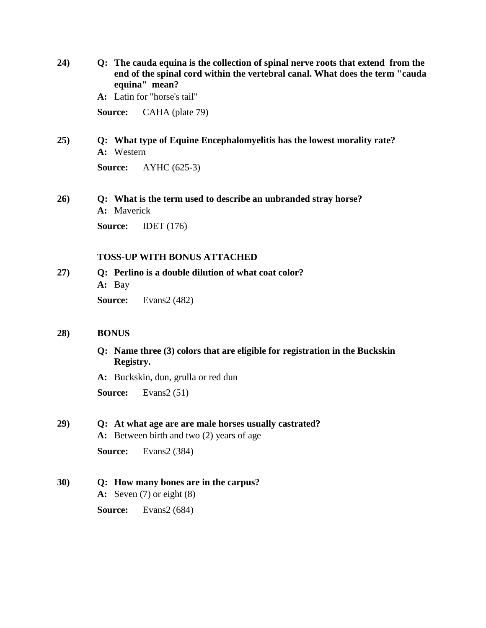**24) Q: The cauda equina is the collection of spinal nerve roots that extend from the end of the spinal cord within the vertebral canal. What does the term "cauda equina" mean?**

**A:** Latin for "horse's tail"

**Source:** CAHA (plate 79)

**25) Q: What type of Equine Encephalomyelitis has the lowest morality rate? A:** Western

**Source:** AYHC (625-3)

**26) Q: What is the term used to describe an unbranded stray horse? A:** Maverick

**Source:** IDET (176)

#### **TOSS-UP WITH BONUS ATTACHED**

**27) Q: Perlino is a double dilution of what coat color? A:** Bay

**Source:** Evans2 (482)

#### **28) BONUS**

**Q: Name three (3) colors that are eligible for registration in the Buckskin Registry.**

**A:** Buckskin, dun, grulla or red dun

**Source:** Evans2 (51)

#### **29) Q: At what age are are male horses usually castrated?**

**A:** Between birth and two (2) years of age

**Source:** Evans2 (384)

**30) Q: How many bones are in the carpus? A:** Seven (7) or eight (8) **Source:** Evans2 (684)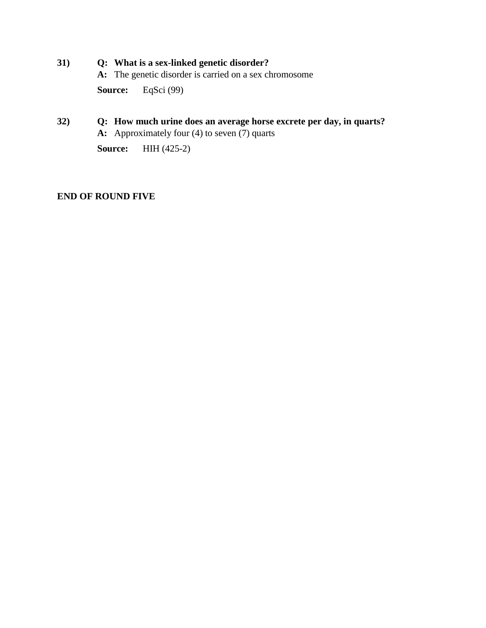**31) Q: What is a sex-linked genetic disorder?**

**A:** The genetic disorder is carried on a sex chromosome

**Source:** EqSci (99)

**32) Q: How much urine does an average horse excrete per day, in quarts? A:** Approximately four (4) to seven (7) quarts

**Source:** HIH (425-2)

### **END OF ROUND FIVE**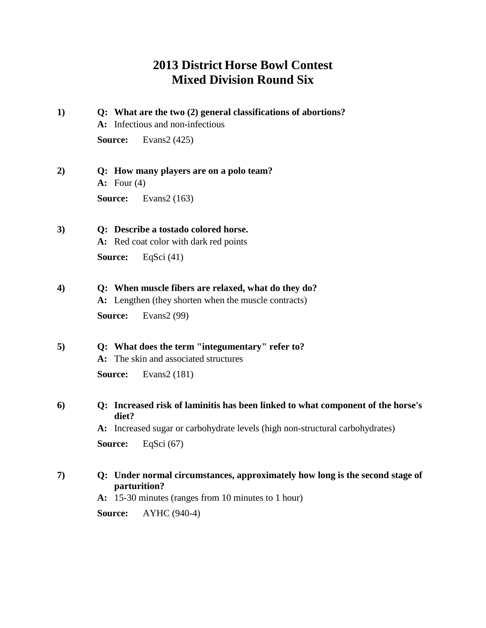# **2013 District Horse Bowl Contest Mixed Division Round Six**

- **1) Q: What are the two (2) general classifications of abortions? A:** Infectious and non-infectious **Source:** Evans2 (425)
- **2) Q: How many players are on a polo team? A:** Four (4) **Source:** Evans2 (163)
- **3) Q: Describe a tostado colored horse. A:** Red coat color with dark red points **Source:** EqSci (41)
- **4) Q: When muscle fibers are relaxed, what do they do?**

**A:** Lengthen (they shorten when the muscle contracts) **Source:** Evans2 (99)

- **5) Q: What does the term "integumentary" refer to?**
	- **A:** The skin and associated structures

**Source:** Evans2 (181)

**6) Q: Increased risk of laminitis has been linked to what component of the horse's diet?**

**A:** Increased sugar or carbohydrate levels (high non-structural carbohydrates)

**Source:** EqSci (67)

- **7) Q: Under normal circumstances, approximately how long is the second stage of parturition?**
	- **A:** 15-30 minutes (ranges from 10 minutes to 1 hour)

**Source:** AYHC (940-4)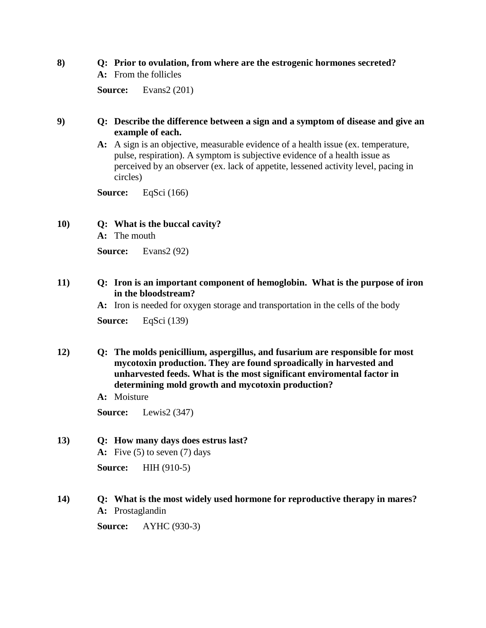#### **8) Q: Prior to ovulation, from where are the estrogenic hormones secreted?**

**A:** From the follicles

**Source:** Evans2 (201)

### **9) Q: Describe the difference between a sign and a symptom of disease and give an example of each.**

**A:** A sign is an objective, measurable evidence of a health issue (ex. temperature, pulse, respiration). A symptom is subjective evidence of a health issue as perceived by an observer (ex. lack of appetite, lessened activity level, pacing in circles)

**Source:** EqSci (166)

### **10) Q: What is the buccal cavity?**

**A:** The mouth

**Source:** Evans2 (92)

### **11) Q: Iron is an important component of hemoglobin. What is the purpose of iron in the bloodstream?**

**A:** Iron is needed for oxygen storage and transportation in the cells of the body

**Source:** EqSci (139)

- **12) Q: The molds penicillium, aspergillus, and fusarium are responsible for most mycotoxin production. They are found sproadically in harvested and unharvested feeds. What is the most significant enviromental factor in determining mold growth and mycotoxin production?**
	- **A:** Moisture

**Source:** Lewis2 (347)

#### **13) Q: How many days does estrus last?**

**A:** Five (5) to seven (7) days

**Source:** HIH (910-5)

#### **14) Q: What is the most widely used hormone for reproductive therapy in mares? A:** Prostaglandin

**Source:** AYHC (930-3)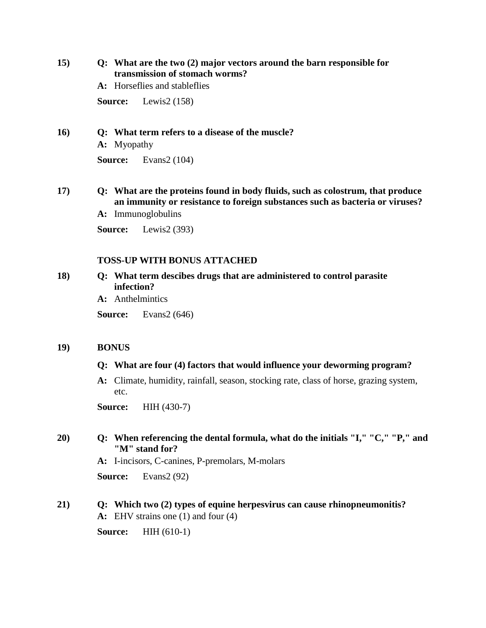**15) Q: What are the two (2) major vectors around the barn responsible for transmission of stomach worms?**

**A:** Horseflies and stableflies

**Source:** Lewis2 (158)

**16) Q: What term refers to a disease of the muscle?**

**A:** Myopathy

**Source:** Evans2 (104)

- **17) Q: What are the proteins found in body fluids, such as colostrum, that produce an immunity or resistance to foreign substances such as bacteria or viruses?**
	- **A:** Immunoglobulins

**Source:** Lewis2 (393)

#### **TOSS-UP WITH BONUS ATTACHED**

- **18) Q: What term descibes drugs that are administered to control parasite infection?**
	- **A:** Anthelmintics

**Source:** Evans2 (646)

#### **19) BONUS**

#### **Q: What are four (4) factors that would influence your deworming program?**

**A:** Climate, humidity, rainfall, season, stocking rate, class of horse, grazing system, etc.

**Source:** HIH (430-7)

### **20) Q: When referencing the dental formula, what do the initials "I," "C," "P," and "M" stand for?**

**A:** I-incisors, C-canines, P-premolars, M-molars

**Source:** Evans2 (92)

### **21) Q: Which two (2) types of equine herpesvirus can cause rhinopneumonitis?**

**A:** EHV strains one (1) and four (4)

**Source:** HIH (610-1)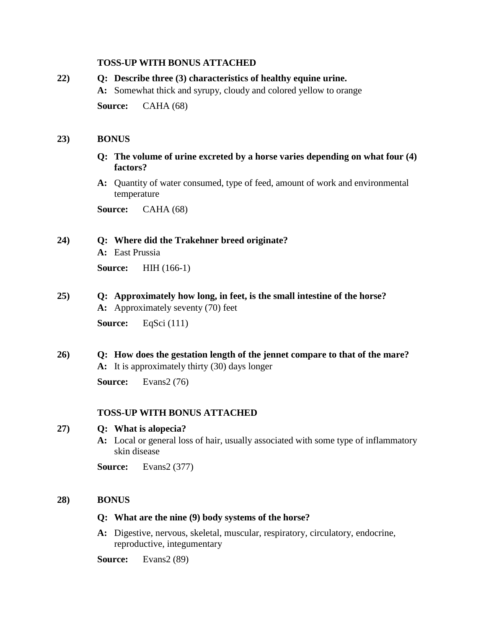#### **TOSS-UP WITH BONUS ATTACHED**

# **22) Q: Describe three (3) characteristics of healthy equine urine. A:** Somewhat thick and syrupy, cloudy and colored yellow to orange **Source:** CAHA (68)

#### **23) BONUS**

- **Q: The volume of urine excreted by a horse varies depending on what four (4) factors?**
- **A:** Quantity of water consumed, type of feed, amount of work and environmental temperature

**Source:** CAHA (68)

#### **24) Q: Where did the Trakehner breed originate?**

**A:** East Prussia

**Source:** HIH (166-1)

- **25) Q: Approximately how long, in feet, is the small intestine of the horse? A:** Approximately seventy (70) feet **Source:** EqSci (111)
- **26) Q: How does the gestation length of the jennet compare to that of the mare? A:** It is approximately thirty (30) days longer

**Source:** Evans2 (76)

#### **TOSS-UP WITH BONUS ATTACHED**

#### **27) Q: What is alopecia?**

**A:** Local or general loss of hair, usually associated with some type of inflammatory skin disease

**Source:** Evans2 (377)

#### **28) BONUS**

- **Q: What are the nine (9) body systems of the horse?**
- **A:** Digestive, nervous, skeletal, muscular, respiratory, circulatory, endocrine, reproductive, integumentary

**Source:** Evans2 (89)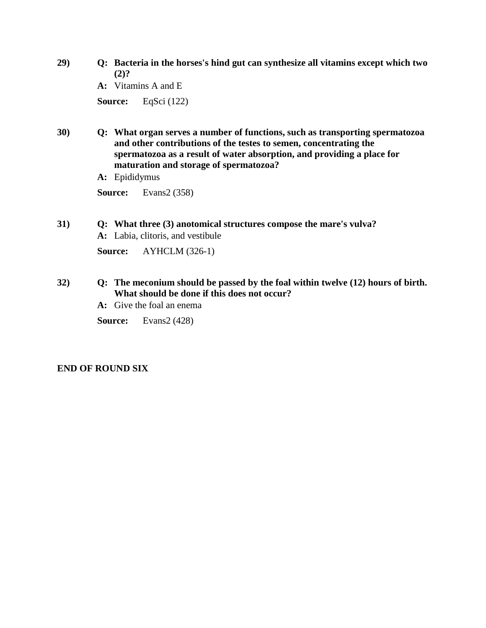**29) Q: Bacteria in the horses's hind gut can synthesize all vitamins except which two (2)?**

**A:** Vitamins A and E

**Source:** EqSci (122)

- **30) Q: What organ serves a number of functions, such as transporting spermatozoa and other contributions of the testes to semen, concentrating the spermatozoa as a result of water absorption, and providing a place for maturation and storage of spermatozoa?**
	- **A:** Epididymus

**Source:** Evans2 (358)

**31) Q: What three (3) anotomical structures compose the mare's vulva? A:** Labia, clitoris, and vestibule

**Source:** AYHCLM (326-1)

### **32) Q: The meconium should be passed by the foal within twelve (12) hours of birth. What should be done if this does not occur?**

- **A:** Give the foal an enema
- **Source:** Evans2 (428)

### **END OF ROUND SIX**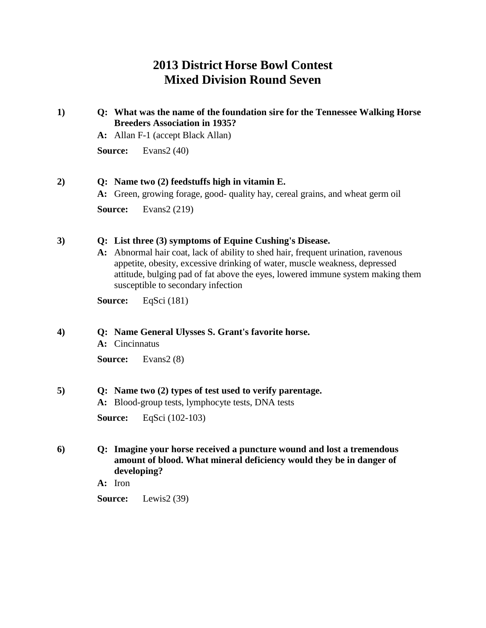# **2013 District Horse Bowl Contest Mixed Division Round Seven**

### **1) Q: What was the name of the foundation sire for the Tennessee Walking Horse Breeders Association in 1935?**

**A:** Allan F-1 (accept Black Allan)

**Source:** Evans2 (40)

### **2) Q: Name two (2) feedstuffs high in vitamin E.**

**A:** Green, growing forage, good- quality hay, cereal grains, and wheat germ oil

**Source:** Evans2 (219)

### **3) Q: List three (3) symptoms of Equine Cushing's Disease.**

**A:** Abnormal hair coat, lack of ability to shed hair, frequent urination, ravenous appetite, obesity, excessive drinking of water, muscle weakness, depressed attitude, bulging pad of fat above the eyes, lowered immune system making them susceptible to secondary infection

**Source:** EqSci (181)

### **4) Q: Name General Ulysses S. Grant's favorite horse.**

**A:** Cincinnatus

**Source:** Evans2 (8)

#### **5) Q: Name two (2) types of test used to verify parentage.**

**A:** Blood-group tests, lymphocyte tests, DNA tests

**Source:** EqSci (102-103)

### **6) Q: Imagine your horse received a puncture wound and lost a tremendous amount of blood. What mineral deficiency would they be in danger of developing?**

**A:** Iron

**Source:** Lewis2 (39)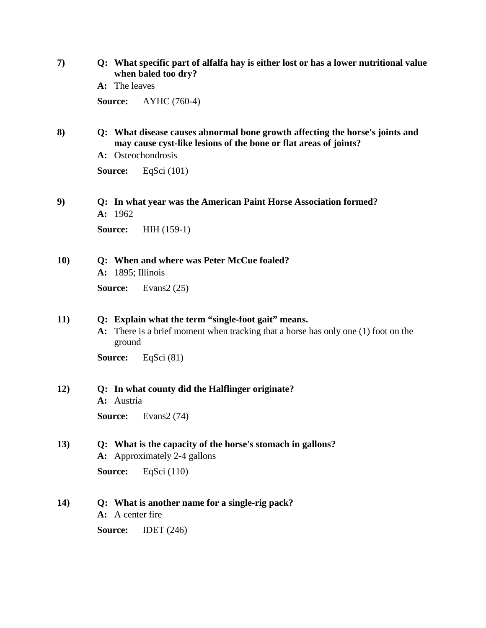| 7) | Q: What specific part of alfalfa hay is either lost or has a lower nutritional value |
|----|--------------------------------------------------------------------------------------|
|    | when baled too dry?                                                                  |

**A:** The leaves

**Source:** AYHC (760-4)

- **8) Q: What disease causes abnormal bone growth affecting the horse's joints and may cause cyst-like lesions of the bone or flat areas of joints?**
	- **A:** Osteochondrosis

**Source:** EqSci (101)

**9) Q: In what year was the American Paint Horse Association formed? A:** 1962

**Source:** HIH (159-1)

**10) Q: When and where was Peter McCue foaled?**

**A:** 1895; Illinois

**Source:** Evans2 (25)

#### **11) Q: Explain what the term "single-foot gait" means.**

**A:** There is a brief moment when tracking that a horse has only one (1) foot on the ground

**Source:** EqSci (81)

#### **12) Q: In what county did the Halflinger originate? A:** Austria

**Source:** Evans2 (74)

**13) Q: What is the capacity of the horse's stomach in gallons? A:** Approximately 2-4 gallons

**Source:** EqSci (110)

- **14) Q: What is another name for a single-rig pack?**
	- **A:** A center fire

**Source:** IDET (246)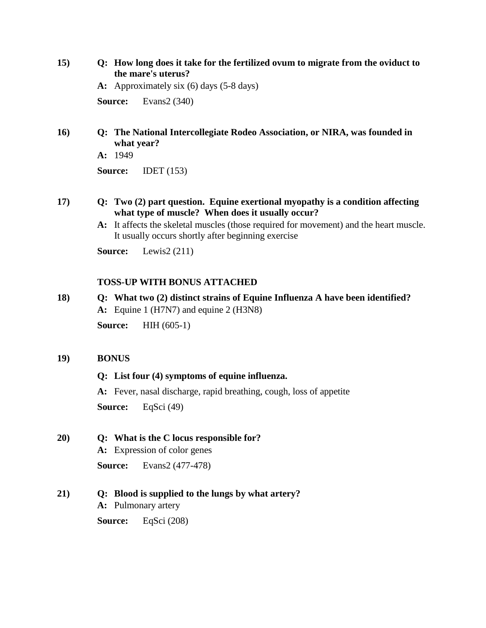**15) Q: How long does it take for the fertilized ovum to migrate from the oviduct to the mare's uterus?**

**A:** Approximately six (6) days (5-8 days)

**Source:** Evans2 (340)

**16) Q: The National Intercollegiate Rodeo Association, or NIRA, was founded in what year?**

**A:** 1949

**Source:** IDET (153)

- **17) Q: Two (2) part question. Equine exertional myopathy is a condition affecting what type of muscle? When does it usually occur?**
	- **A:** It affects the skeletal muscles (those required for movement) and the heart muscle. It usually occurs shortly after beginning exercise

**Source:** Lewis2 (211)

### **TOSS-UP WITH BONUS ATTACHED**

### **18) Q: What two (2) distinct strains of Equine Influenza A have been identified? A:** Equine 1 (H7N7) and equine 2 (H3N8)

**Source:** HIH (605-1)

### **19) BONUS**

### **Q: List four (4) symptoms of equine influenza.**

**A:** Fever, nasal discharge, rapid breathing, cough, loss of appetite **Source:** EqSci (49)

### **20) Q: What is the C locus responsible for?**

**A:** Expression of color genes

**Source:** Evans2 (477-478)

### **21) Q: Blood is supplied to the lungs by what artery?**

**A:** Pulmonary artery

**Source:** EqSci (208)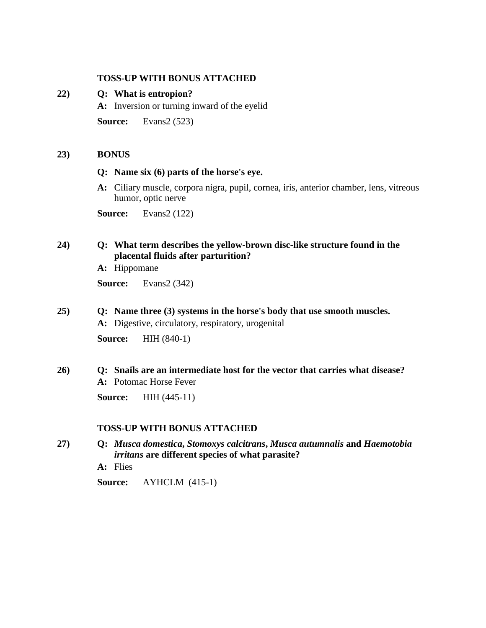#### **TOSS-UP WITH BONUS ATTACHED**

#### **22) Q: What is entropion?**

**A:** Inversion or turning inward of the eyelid

**Source:** Evans2 (523)

#### **23) BONUS**

#### **Q: Name six (6) parts of the horse's eye.**

**A:** Ciliary muscle, corpora nigra, pupil, cornea, iris, anterior chamber, lens, vitreous humor, optic nerve

**Source:** Evans2 (122)

### **24) Q: What term describes the yellow-brown disc-like structure found in the placental fluids after parturition?**

**A:** Hippomane

**Source:** Evans2 (342)

# **25) Q: Name three (3) systems in the horse's body that use smooth muscles.**

**A:** Digestive, circulatory, respiratory, urogenital

**Source:** HIH (840-1)

### **26) Q: Snails are an intermediate host for the vector that carries what disease? A:** Potomac Horse Fever

**Source:** HIH (445-11)

#### **TOSS-UP WITH BONUS ATTACHED**

- **27) Q:** *Musca domestica***,** *Stomoxys calcitrans***,** *Musca autumnalis* **and** *Haemotobia irritans* **are different species of what parasite?**
	- **A:** Flies
	- **Source:** AYHCLM (415-1)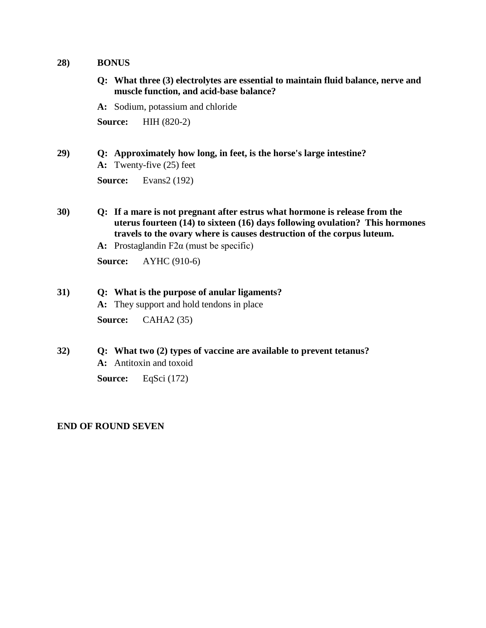#### **28) BONUS**

- **Q: What three (3) electrolytes are essential to maintain fluid balance, nerve and muscle function, and acid-base balance?**
- **A:** Sodium, potassium and chloride

**Source:** HIH (820-2)

### **29) Q: Approximately how long, in feet, is the horse's large intestine?**

**A:** Twenty-five (25) feet

**Source:** Evans2 (192)

- **30) Q: If a mare is not pregnant after estrus what hormone is release from the uterus fourteen (14) to sixteen (16) days following ovulation? This hormones travels to the ovary where is causes destruction of the corpus luteum.**
	- **A:** Prostaglandin F2α (must be specific)

**Source:** AYHC (910-6)

# **31) Q: What is the purpose of anular ligaments? A:** They support and hold tendons in place

**Source:** CAHA2 (35)

**32) Q: What two (2) types of vaccine are available to prevent tetanus? A:** Antitoxin and toxoid **Source:** EqSci (172)

#### **END OF ROUND SEVEN**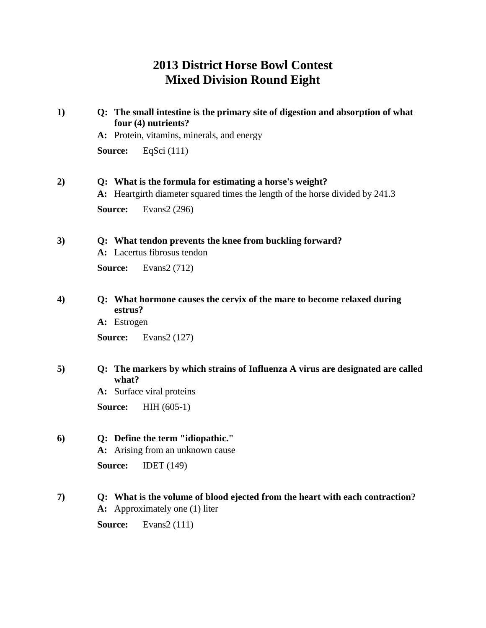# **2013 District Horse Bowl Contest Mixed Division Round Eight**

| 1)               | Q: The small intestine is the primary site of digestion and absorption of what<br>four (4) nutrients?                                    |  |  |
|------------------|------------------------------------------------------------------------------------------------------------------------------------------|--|--|
|                  | A: Protein, vitamins, minerals, and energy                                                                                               |  |  |
|                  | EqSci $(111)$<br>Source:                                                                                                                 |  |  |
| 2)               | Q: What is the formula for estimating a horse's weight?<br>A: Heartgirth diameter squared times the length of the horse divided by 241.3 |  |  |
|                  | Source:<br>Evans2 (296)                                                                                                                  |  |  |
| 3)               | Q: What tendon prevents the knee from buckling forward?<br>A: Lacertus fibrosus tendon                                                   |  |  |
|                  | Source:<br>Evans2 (712)                                                                                                                  |  |  |
| $\boldsymbol{4}$ | Q: What hormone causes the cervix of the mare to become relaxed during<br>estrus?                                                        |  |  |
|                  | A: Estrogen                                                                                                                              |  |  |
|                  | Evans2 (127)<br>Source:                                                                                                                  |  |  |
| 5)               | Q: The markers by which strains of Influenza A virus are designated are called<br>what?                                                  |  |  |
|                  | A: Surface viral proteins                                                                                                                |  |  |
|                  | Source:<br>$HH (605-1)$                                                                                                                  |  |  |
| 6)               | Q: Define the term "idiopathic."<br>A: Arising from an unknown cause                                                                     |  |  |
|                  | <b>IDET</b> (149)<br>Source:                                                                                                             |  |  |
| 7)               | Q: What is the volume of blood ejected from the heart with each contraction?<br>A: Approximately one (1) liter                           |  |  |
|                  |                                                                                                                                          |  |  |

**Source:** Evans2 (111)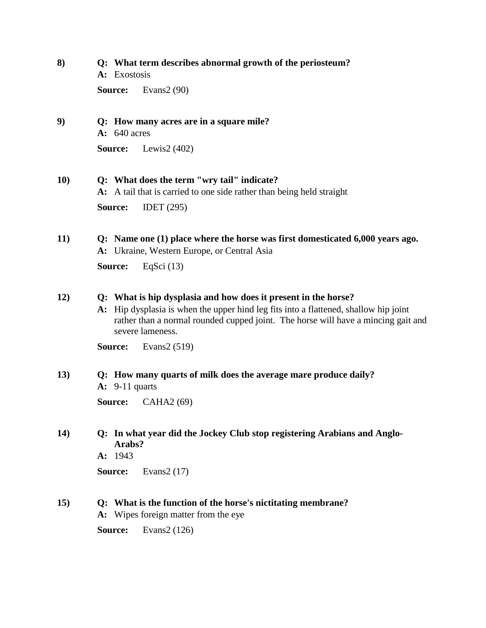### **8) Q: What term describes abnormal growth of the periosteum?**

**A:** Exostosis

**Source:** Evans2 (90)

### **9) Q: How many acres are in a square mile?**

**A:** 640 acres

**Source:** Lewis2 (402)

### **10) Q: What does the term "wry tail" indicate?**

**A:** A tail that is carried to one side rather than being held straight

**Source:** IDET (295)

### **11) Q: Name one (1) place where the horse was first domesticated 6,000 years ago. A:** Ukraine, Western Europe, or Central Asia

**Source:** EqSci (13)

### **12) Q: What is hip dysplasia and how does it present in the horse?**

**A:** Hip dysplasia is when the upper hind leg fits into a flattened, shallow hip joint rather than a normal rounded cupped joint. The horse will have a mincing gait and severe lameness.

**Source:** Evans2 (519)

### **13) Q: How many quarts of milk does the average mare produce daily?**

**A:** 9-11 quarts

**Source:** CAHA2 (69)

### **14) Q: In what year did the Jockey Club stop registering Arabians and Anglo-Arabs?**

**A:** 1943

**Source:** Evans2 (17)

### **15) Q: What is the function of the horse's nictitating membrane?**

**A:** Wipes foreign matter from the eye

**Source:** Evans2 (126)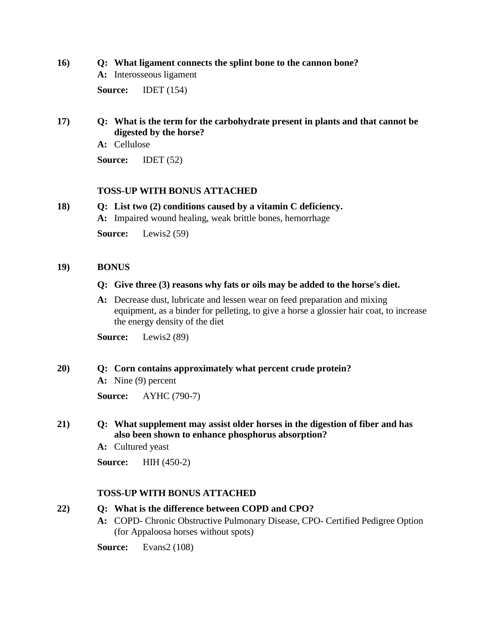#### **16) Q: What ligament connects the splint bone to the cannon bone?**

**A:** Interosseous ligament

**Source:** IDET (154)

### **17) Q: What is the term for the carbohydrate present in plants and that cannot be digested by the horse?**

**A:** Cellulose

**Source:** IDET (52)

### **TOSS-UP WITH BONUS ATTACHED**

### **18) Q: List two (2) conditions caused by a vitamin C deficiency.**

**A:** Impaired wound healing, weak brittle bones, hemorrhage

**Source:** Lewis2 (59)

#### **19) BONUS**

#### **Q: Give three (3) reasons why fats or oils may be added to the horse's diet.**

**A:** Decrease dust, lubricate and lessen wear on feed preparation and mixing equipment, as a binder for pelleting, to give a horse a glossier hair coat, to increase the energy density of the diet

**Source:** Lewis2 (89)

#### **20) Q: Corn contains approximately what percent crude protein?**

**A:** Nine (9) percent

**Source:** AYHC (790-7)

### **21) Q: What supplement may assist older horses in the digestion of fiber and has also been shown to enhance phosphorus absorption?**

**A:** Cultured yeast

**Source:** HIH (450-2)

### **TOSS-UP WITH BONUS ATTACHED**

#### **22) Q: What is the difference between COPD and CPO?**

- **A:** COPD- Chronic Obstructive Pulmonary Disease, CPO- Certified Pedigree Option (for Appaloosa horses without spots)
- **Source:** Evans2 (108)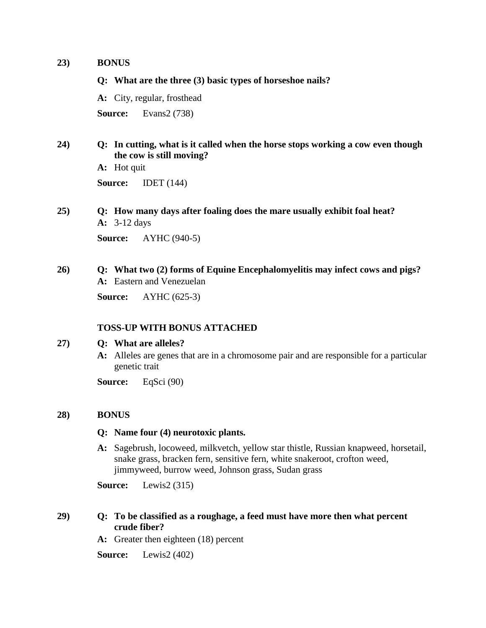#### **23) BONUS**

**Q: What are the three (3) basic types of horseshoe nails?**

**A:** City, regular, frosthead

**Source:** Evans2 (738)

### **24) Q: In cutting, what is it called when the horse stops working a cow even though the cow is still moving?**

**A:** Hot quit **Source:** IDET (144)

**25) Q: How many days after foaling does the mare usually exhibit foal heat? A:** 3-12 days **Source:** AYHC (940-5)

### **26) Q: What two (2) forms of Equine Encephalomyelitis may infect cows and pigs? A:** Eastern and Venezuelan

**Source:** AYHC (625-3)

#### **TOSS-UP WITH BONUS ATTACHED**

#### **27) Q: What are alleles?**

**A:** Alleles are genes that are in a chromosome pair and are responsible for a particular genetic trait

**Source:** EqSci (90)

#### **28) BONUS**

#### **Q: Name four (4) neurotoxic plants.**

**A:** Sagebrush, locoweed, milkvetch, yellow star thistle, Russian knapweed, horsetail, snake grass, bracken fern, sensitive fern, white snakeroot, crofton weed, jimmyweed, burrow weed, Johnson grass, Sudan grass

**Source:** Lewis2 (315)

### **29) Q: To be classified as a roughage, a feed must have more then what percent crude fiber?**

**A:** Greater then eighteen (18) percent

**Source:** Lewis2 (402)